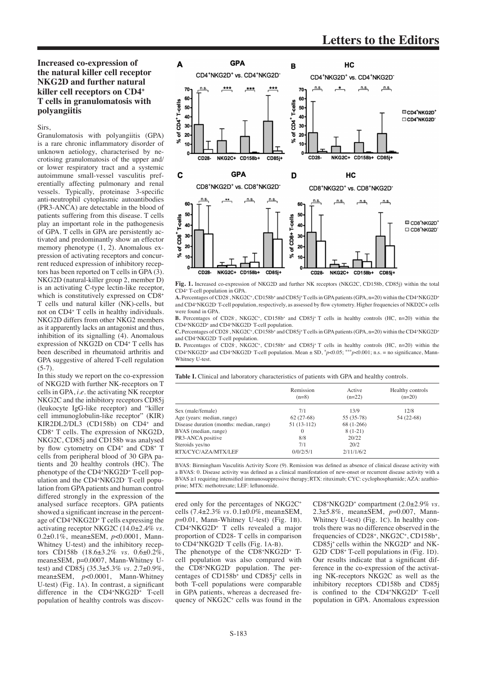## **Increased co-expression of the natural killer cell receptor NKG2D and further natural killer cell receptors on CD4+ T cells in granulomatosis with polyangiitis**

## Sirs,

Granulomatosis with polyangiitis (GPA) is a rare chronic inflammatory disorder of unknown aetiology, characterised by necrotising granulomatosis of the upper and/ or lower respiratory tract and a systemic autoimmune small-vessel vasculitis preferentially affecting pulmonary and renal vessels. Typically, proteinase 3-specific anti-neutrophil cytoplasmic autoantibodies (PR3-ANCA) are detectable in the blood of patients suffering from this disease. T cells play an important role in the pathogenesis of GPA. T cells in GPA are persistently activated and predominantly show an effector memory phenotype (1, 2). Anomalous expression of activating receptors and concurrent reduced expression of inhibitory receptors has been reported on T cells in GPA (3). NKG2D (natural-killer group 2, member D) is an activating C-type lectin-like receptor, which is constitutively expressed on CD8<sup>+</sup> T cells und natural killer (NK)-cells, but not on CD4+ T cells in healthy individuals. NKG2D differs from other NKG2 members as it apparently lacks an antagonist and thus, inhibition of its signalling (4). Anomalous expression of NKG2D on CD4+ T cells has been described in rheumatoid arthritis and GPA suggestive of altered T-cell regulation  $(5-7)$ .

In this study we report on the co-expression of NKG2D with further NK-receptors on T cells in GPA, *i.e.* the activating NK receptor NKG2C and the inhibitory receptors CD85j (leukocyte IgG-like receptor) and "killer cell immunoglobulin-like receptor" (KIR) KIR2DL2/DL3 (CD158b) on CD4<sup>+</sup> and CD8+ T cells. The expression of NKG2D, NKG2C, CD85j and CD158b was analysed by flow cytometry on CD4<sup>+</sup> and CD8+ T cells from peripheral blood of 30 GPA patients and 20 healthy controls (HC). The phenotype of the CD4+NKG2D+ T-cell population and the CD4+NKG2D- T-cell population from GPA patients and human control differed strongly in the expression of the analysed surface receptors. GPA patients showed a significant increase in the percentage of CD4+NKG2D+ T cells expressing the activating receptor NKG2C (14.0±2.4% *vs.*  0.2±0.1%, mean±SEM, *p*<0.0001, Mann-Whitney U-test) and the inhibitory receptors CD158b (18.6±3.2% *vs.* 0.6±0.2%, mean±SEM, p=0,0007, Mann-Whitney Utest) and CD85j (35.3±5.3% *vs. 2*.7±0.9%, mean±SEM, *p*<0.0001, Mann-Whitney U-test) (Fig. 1a). In contrast, a significant difference in the CD4<sup>+</sup>NKG2D<sup>+</sup> T-cell population of healthy controls was discov-



**Fig. 1.** Increased co-expression of NKG2D and further NK receptors (NKG2C, CD158b, CD85j) within the total CD4+ T-cell population in GPA.

**A.** Percentages of CD28- , NKG2C+, CD158b<sup>+</sup> and CD85j<sup>+</sup>T cells in GPA patients (GPA, n=20) within the CD4+NKG2D+ and CD4+NKG2D<sup>-</sup> T-cell population, respectively, as assessed by flow cytometry. Higher frequencies of NKD2C+ cells were found in GPA

**B.** Percentages of CD28<sup>-</sup>, NKG2C<sup>+</sup>, CD158b<sup>+</sup> and CD85j<sup>+</sup> T cells in healthy controls (HC, n=20) within the CD4+NKG2D+ and CD4+NKG2D- T-cell population.

C. Percentages of CD28<sup>-</sup>, NKG2C<sup>+</sup>, CD158b<sup>+</sup> and CD85j<sup>+</sup>T cells in GPA patients (GPA, n=20) within the CD4<sup>+</sup>NKG2D<sup>+</sup> and CD4+NKG2D- T-cell population.

**D.** Percentages of CD28<sup>-</sup>, NKG2C<sup>+</sup>, CD158b<sup>+</sup> and CD85j<sup>+</sup> T cells in healthy controls (HC, n=20) within the CD4<sup>+</sup>NKG2D<sup>+</sup> and CD4<sup>+</sup>NKG2D<sup>-</sup>T-cell population. Mean  $\pm$  SD,  $\frac{*}{7}$ *p*<0.05; \*\*\**p*<0.001; n.s. = no significance, Mann-Whitney U-test.

**Table I.** Clinical and laboratory characteristics of patients with GPA and healthy controls.

|                                          | Remission<br>$(n=8)$ | Active<br>$(n=22)$ | Healthy controls<br>$(n=20)$ |
|------------------------------------------|----------------------|--------------------|------------------------------|
| Sex (male/female)                        | 7/1                  | 13/9               | 12/8                         |
| Age (years: median, range)               | $62(27-68)$          | 55 (35-78)         | 54 (22-68)                   |
| Disease duration (months: median, range) | $51(13-112)$         | $68(1-266)$        |                              |
| BVAS (median, range)                     | $\Omega$             | $8(1-21)$          |                              |
| PR3-ANCA positive                        | 8/8                  | 20/22              |                              |
| Steroids yes/no                          | 7/1                  | 20/2               |                              |
| RTX/CYC/AZA/MTX/LEF                      | 0/0/2/5/1            | 2/11/1/6/2         |                              |

BVAS: Birmingham Vasculitis Activity Score (9). Remission was defined as absence of clinical disease activity with a BVAS: 0. Disease activity was defined as a clinical manifestation of new-onset or recurrent disease activity with a BVAS ≥1 requiring intensified immunosuppressive therapy;RTX: rituximab; CYC: cyclophosphamide; AZA: azathioprine; MTX: methotrexate; LEF: leflunomide.

ered only for the percentages of NKG2C<sup>+</sup> cells (7.4±2.3% *vs.* 0.1±0.0%, mean±SEM, *p*=0.01, Mann-Whitney U-test) (Fig. 1b). CD4+NKG2D+ T cells revealed a major proportion of CD28- T cells in comparison to CD4+NKG2D- T cells (Fig. 1a-b). The phenotype of the CD8+NKG2D+ Tcell population was also compared with the CD8+NKG2D- population. The percentages of CD158b<sup>+</sup> und CD85j+ cells in both T-cell populations were comparable in GPA patients, whereas a decreased frequency of NKG2C<sup>+</sup> cells was found in the

CD8+NKG2D+ compartment (2.0±2.9% *vs.*  2.3±5.8%, mean±SEM, *p*=0.007, Mann-Whitney U-test) (Fig. 1c). In healthy controls there was no difference observed in the frequencies of CD28<sup>+</sup>, NKG2C<sup>+</sup>, CD158b<sup>+</sup>, CD85j+ cells within the NKG2D+ and NK-G2D CD8+ T-cell populations in (Fig. 1D). Our results indicate that a significant difference in the co-expression of the activating NK-receptors NKG2C as well as the inhibitory receptors CD158b and CD85j is confined to the CD4+NKG2D+ T-cell population in GPA. Anomalous expression